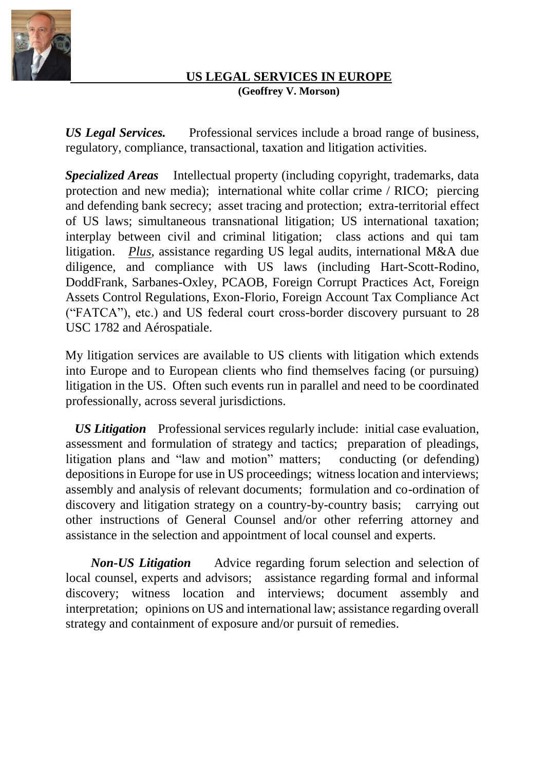

## **US LEGAL SERVICES IN EUROPE (Geoffrey V. Morson)**

*US Legal Services.* Professional services include a broad range of business, regulatory, compliance, transactional, taxation and litigation activities.

*Specialized Areas*Intellectual property (including copyright, trademarks, data protection and new media); international white collar crime / RICO; piercing and defending bank secrecy; asset tracing and protection; extra-territorial effect of US laws; simultaneous transnational litigation; US international taxation; interplay between civil and criminal litigation; class actions and qui tam litigation. *Plus*, assistance regarding US legal audits, international M&A due diligence, and compliance with US laws (including Hart-Scott-Rodino, DoddFrank, Sarbanes-Oxley, PCAOB, Foreign Corrupt Practices Act, Foreign Assets Control Regulations, Exon-Florio, Foreign Account Tax Compliance Act ("FATCA"), etc.) and US federal court cross-border discovery pursuant to 28 USC 1782 and Aérospatiale.

My litigation services are available to US clients with litigation which extends into Europe and to European clients who find themselves facing (or pursuing) litigation in the US. Often such events run in parallel and need to be coordinated professionally, across several jurisdictions.

 *US Litigation*Professional services regularly include: initial case evaluation, assessment and formulation of strategy and tactics; preparation of pleadings, litigation plans and "law and motion" matters; conducting (or defending) depositions in Europe for use in US proceedings; witness location and interviews; assembly and analysis of relevant documents; formulation and co-ordination of discovery and litigation strategy on a country-by-country basis; carrying out other instructions of General Counsel and/or other referring attorney and assistance in the selection and appointment of local counsel and experts.

*Non-US Litigation*Advice regarding forum selection and selection of local counsel, experts and advisors; assistance regarding formal and informal discovery; witness location and interviews; document assembly and interpretation; opinions on US and international law; assistance regarding overall strategy and containment of exposure and/or pursuit of remedies.